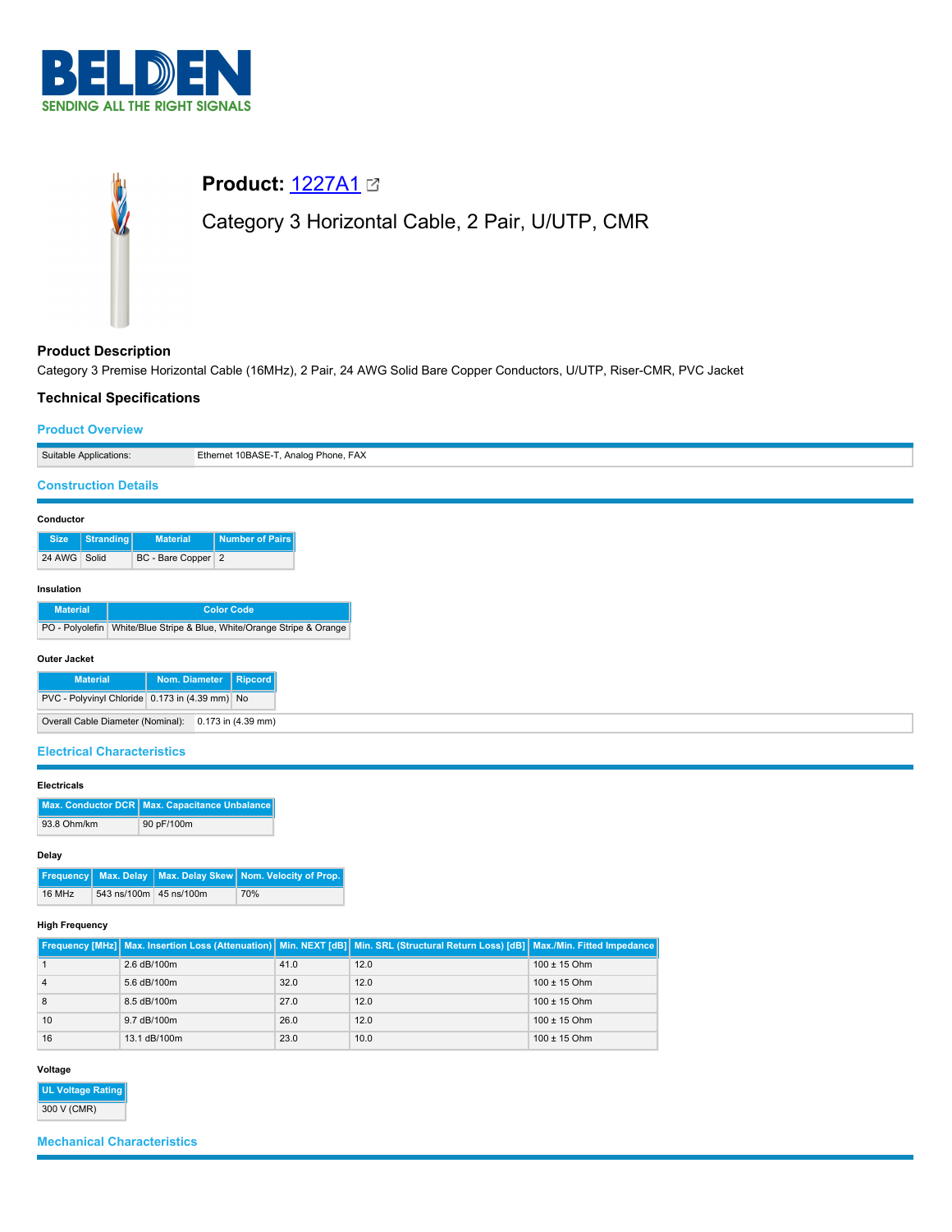



# **Product Description**

Category 3 Premise Horizontal Cable (16MHz), 2 Pair, 24 AWG Solid Bare Copper Conductors, U/UTP, Riser-CMR, PVC Jacket

# **Technical Specifications**

# **Product Overview**

|                             | Suitable Applications: |                                   | Ethernet 10BASE-T, Analog Phone, FAX                                                        |  |
|-----------------------------|------------------------|-----------------------------------|---------------------------------------------------------------------------------------------|--|
| <b>Construction Details</b> |                        |                                   |                                                                                             |  |
| Conductor                   |                        |                                   |                                                                                             |  |
| <b>Size</b>                 | <b>Stranding</b>       | <b>Material</b>                   | <b>Number of Pairs</b>                                                                      |  |
| 24 AWG Solid                |                        | BC - Bare Copper 2                |                                                                                             |  |
| Insulation                  |                        |                                   |                                                                                             |  |
| <b>Material</b>             |                        |                                   | <b>Color Code</b><br>PO - Polyolefin White/Blue Stripe & Blue, White/Orange Stripe & Orange |  |
|                             |                        |                                   |                                                                                             |  |
| Outer Jacket                | <b>Material</b>        |                                   | Nom. Diameter<br>Ripcord                                                                    |  |
|                             |                        |                                   | PVC - Polyvinyl Chloride 0.173 in (4.39 mm) No                                              |  |
|                             |                        | Overall Cable Diameter (Nominal): | $0.173$ in $(4.39$ mm)                                                                      |  |
|                             |                        | <b>Electrical Characteristics</b> |                                                                                             |  |

## **Electricals**

|             | Max. Conductor DCR   Max. Capacitance Unbalance |
|-------------|-------------------------------------------------|
| 93.8 Ohm/km | 90 pF/100m                                      |

# **Delay**

|        |                        | Frequency Max. Delay Max. Delay Skew Nom. Velocity of Prop. |
|--------|------------------------|-------------------------------------------------------------|
| 16 MHz | 543 ns/100m 45 ns/100m | 70%                                                         |

## **High Frequency**

|    |              |      | Frequency [MHz] Max. Insertion Loss (Attenuation)   Min. NEXT [dB]   Min. SRL (Structural Return Loss) [dB]   Max./Min. Fitted Impedance |                  |
|----|--------------|------|------------------------------------------------------------------------------------------------------------------------------------------|------------------|
|    | 2.6 dB/100m  | 41.0 | 12.0                                                                                                                                     | $100 \pm 15$ Ohm |
| 4  | 5.6 dB/100m  | 32.0 | 12.0                                                                                                                                     | $100 \pm 15$ Ohm |
| 8  | 8.5 dB/100m  | 27.0 | 12.0                                                                                                                                     | $100 \pm 15$ Ohm |
| 10 | 9.7 dB/100m  | 26.0 | 12.0                                                                                                                                     | $100 \pm 15$ Ohm |
| 16 | 13.1 dB/100m | 23.0 | 10.0                                                                                                                                     | $100 \pm 15$ Ohm |

## **Voltage**

| UL Voltage Rating |
|-------------------|
| 300 V (CMR)       |

# **Mechanical Characteristics**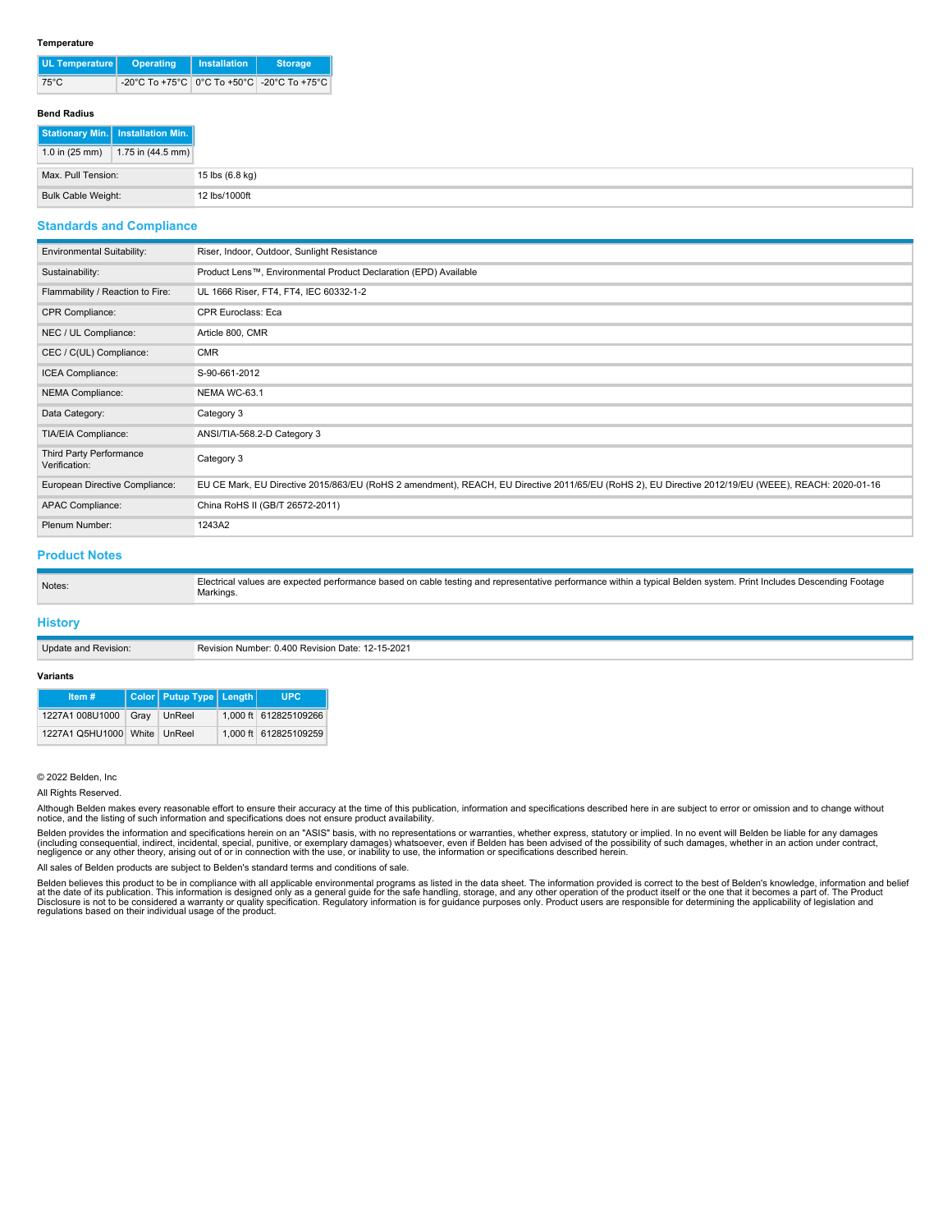#### **Temperature**

| UL Temperature | Operating                                      | <b>Installation</b> | <b>Storage</b> |  |
|----------------|------------------------------------------------|---------------------|----------------|--|
| $75^{\circ}$ C | -20°C To +75°C   0°C To +50°C   -20°C To +75°C |                     |                |  |

### **Bend Radius**

|                          | Stationary Min.   Installation Min. |
|--------------------------|-------------------------------------|
| 1.0 in $(25 \text{ mm})$ | 1.75 in $(44.5 \text{ mm})$         |
| Max. Pull Tension:       |                                     |
| Bulk Cable Weight:       |                                     |

## **Standards and Compliance**

| <b>Environmental Suitability:</b>        | Riser, Indoor, Outdoor, Sunlight Resistance                                                                                                         |  |  |  |  |
|------------------------------------------|-----------------------------------------------------------------------------------------------------------------------------------------------------|--|--|--|--|
| Sustainability:                          | Product Lens™, Environmental Product Declaration (EPD) Available                                                                                    |  |  |  |  |
| Flammability / Reaction to Fire:         | UL 1666 Riser, FT4, FT4, IEC 60332-1-2                                                                                                              |  |  |  |  |
| CPR Compliance:                          | <b>CPR Euroclass: Eca</b>                                                                                                                           |  |  |  |  |
| NEC / UL Compliance:                     | Article 800, CMR                                                                                                                                    |  |  |  |  |
| CEC / C(UL) Compliance:                  | <b>CMR</b>                                                                                                                                          |  |  |  |  |
| ICEA Compliance:                         | S-90-661-2012                                                                                                                                       |  |  |  |  |
| NEMA Compliance:                         | NEMA WC-63.1                                                                                                                                        |  |  |  |  |
| Data Category:                           | Category 3                                                                                                                                          |  |  |  |  |
| TIA/EIA Compliance:                      | ANSI/TIA-568.2-D Category 3                                                                                                                         |  |  |  |  |
| Third Party Performance<br>Verification: | Category 3                                                                                                                                          |  |  |  |  |
| European Directive Compliance:           | EU CE Mark, EU Directive 2015/863/EU (RoHS 2 amendment), REACH, EU Directive 2011/65/EU (RoHS 2), EU Directive 2012/19/EU (WEEE), REACH: 2020-01-16 |  |  |  |  |
| APAC Compliance:                         | China RoHS II (GB/T 26572-2011)                                                                                                                     |  |  |  |  |
| Plenum Number:                           | 1243A2                                                                                                                                              |  |  |  |  |

## **Product Notes**

| Notes. | s are expected performance based on cable testing and representative performance within a typical Belden system. Print Includes [<br>Flectrica<br>∶Footage<br>values<br>Markino- |
|--------|----------------------------------------------------------------------------------------------------------------------------------------------------------------------------------|
|--------|----------------------------------------------------------------------------------------------------------------------------------------------------------------------------------|

## **History**

| Update and Revision: | Revision Number: 0.400 Revision Date: 12-15-2021 |
|----------------------|--------------------------------------------------|
|----------------------|--------------------------------------------------|

## **Variants**

| Item $#$                     | Color   Putup Type   Length | UPC.                  |
|------------------------------|-----------------------------|-----------------------|
| 1227A1 008U1000 Gray         | ∣ UnReel                    | 1,000 ft 612825109266 |
| 1227A1 Q5HU1000 White UnReel |                             | 1.000 ft 612825109259 |

## © 2022 Belden, Inc

All Rights Reserved.

Although Belden makes every reasonable effort to ensure their accuracy at the time of this publication, information and specifications described here in are subject to error or omission and to change without<br>notice, and th

Belden provides the information and specifications herein on an "ASIS" basis, with no representations or warranties, whether express, statutory or implied. In no event will Belden be liable for any damages<br>(including conse

All sales of Belden products are subject to Belden's standard terms and conditions of sale.

Belden believes this product to be in compliance with all applicable environmental programs as listed in the data sheet. The information provided is correct to the best of Belden's knowledge, information and belief<br>at the